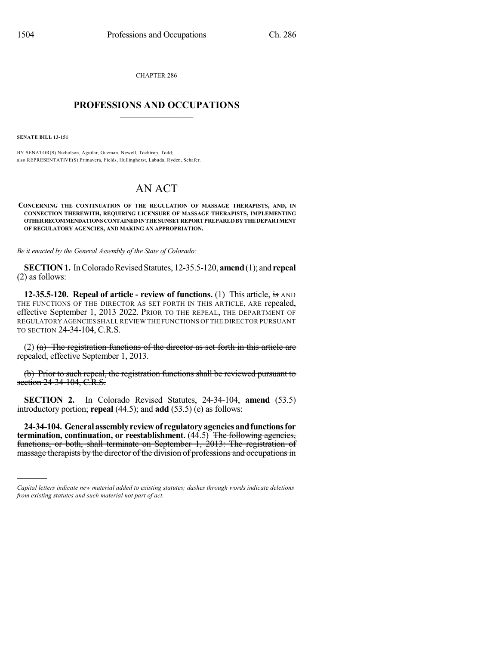CHAPTER 286

## $\mathcal{L}_\text{max}$  . The set of the set of the set of the set of the set of the set of the set of the set of the set of the set of the set of the set of the set of the set of the set of the set of the set of the set of the set **PROFESSIONS AND OCCUPATIONS**  $\frac{1}{2}$  ,  $\frac{1}{2}$  ,  $\frac{1}{2}$  ,  $\frac{1}{2}$  ,  $\frac{1}{2}$  ,  $\frac{1}{2}$

**SENATE BILL 13-151**

)))))

BY SENATOR(S) Nicholson, Aguilar, Guzman, Newell, Tochtrop, Todd; also REPRESENTATIVE(S) Primavera, Fields, Hullinghorst, Labuda, Ryden, Schafer.

# AN ACT

**CONCERNING THE CONTINUATION OF THE REGULATION OF MASSAGE THERAPISTS, AND, IN CONNECTION THEREWITH, REQUIRING LICENSURE OF MASSAGE THERAPISTS, IMPLEMENTING OTHERRECOMMENDATIONS CONTAINEDINTHE SUNSET REPORT PREPAREDBY THE DEPARTMENT OF REGULATORY AGENCIES, AND MAKING AN APPROPRIATION.**

*Be it enacted by the General Assembly of the State of Colorado:*

**SECTION 1.** In Colorado Revised Statutes, 12-35.5-120, **amend** (1); and **repeal** (2) as follows:

**12-35.5-120. Repeal of article - review of functions.** (1) This article, is AND THE FUNCTIONS OF THE DIRECTOR AS SET FORTH IN THIS ARTICLE, ARE repealed, effective September 1, 2013 2022. PRIOR TO THE REPEAL, THE DEPARTMENT OF REGULATORY AGENCIES SHALL REVIEW THE FUNCTIONS OF THE DIRECTOR PURSUANT TO SECTION 24-34-104, C.R.S.

(2) (a) The registration functions of the director as set forth in this article are repealed, effective September 1, 2013.

(b) Prior to such repeal, the registration functions shall be reviewed pursuant to section 24-34-104, C.R.S.

**SECTION 2.** In Colorado Revised Statutes, 24-34-104, **amend** (53.5) introductory portion; **repeal** (44.5); and **add** (53.5) (e) as follows:

**24-34-104. Generalassemblyreviewof regulatoryagenciesandfunctionsfor termination, continuation, or reestablishment.** (44.5) The following agencies, functions, or both, shall terminate on September 1, 2013: The registration of massage therapists by the director of the division of professions and occupations in

*Capital letters indicate new material added to existing statutes; dashes through words indicate deletions from existing statutes and such material not part of act.*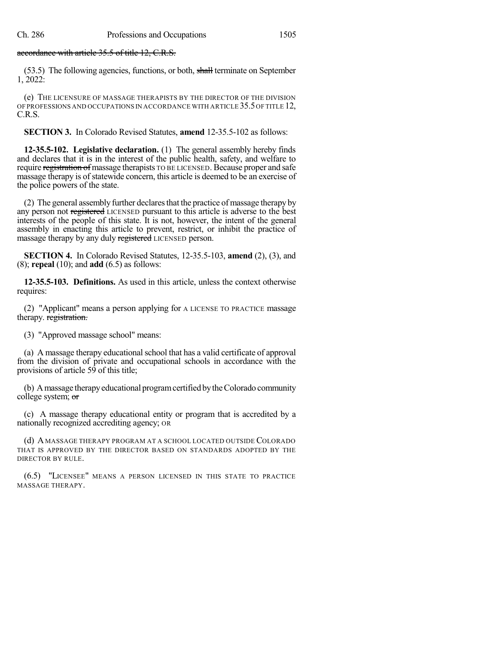### accordance with article 35.5 of title 12, C.R.S.

(53.5) The following agencies, functions, or both, shall terminate on September 1, 2022:

(e) THE LICENSURE OF MASSAGE THERAPISTS BY THE DIRECTOR OF THE DIVISION OF PROFESSIONS AND OCCUPATIONS IN ACCORDANCE WITH ARTICLE 35.5OF TITLE 12, C.R.S.

**SECTION 3.** In Colorado Revised Statutes, **amend** 12-35.5-102 as follows:

**12-35.5-102. Legislative declaration.** (1) The general assembly hereby finds and declares that it is in the interest of the public health, safety, and welfare to require registration of massage therapists TO BE LICENSED. Because proper and safe massage therapy is of statewide concern, this article is deemed to be an exercise of the police powers of the state.

(2) The general assembly further declares that the practice of massage therapy by any person not registered LICENSED pursuant to this article is adverse to the best interests of the people of this state. It is not, however, the intent of the general assembly in enacting this article to prevent, restrict, or inhibit the practice of massage therapy by any duly registered LICENSED person.

**SECTION 4.** In Colorado Revised Statutes, 12-35.5-103, **amend** (2), (3), and (8); **repeal** (10); and **add** (6.5) as follows:

**12-35.5-103. Definitions.** As used in this article, unless the context otherwise requires:

(2) "Applicant" means a person applying for A LICENSE TO PRACTICE massage therapy. registration.

(3) "Approved massage school" means:

(a) A massage therapy educationalschool that has a valid certificate of approval from the division of private and occupational schools in accordance with the provisions of article 59 of this title;

(b) Amassage therapyeducational programcertified bytheColorado community college system; or

(c) A massage therapy educational entity or program that is accredited by a nationally recognized accrediting agency; OR

(d) A MASSAGE THERAPY PROGRAM AT A SCHOOL LOCATED OUTSIDE COLORADO THAT IS APPROVED BY THE DIRECTOR BASED ON STANDARDS ADOPTED BY THE DIRECTOR BY RULE.

(6.5) "LICENSEE" MEANS A PERSON LICENSED IN THIS STATE TO PRACTICE MASSAGE THERAPY.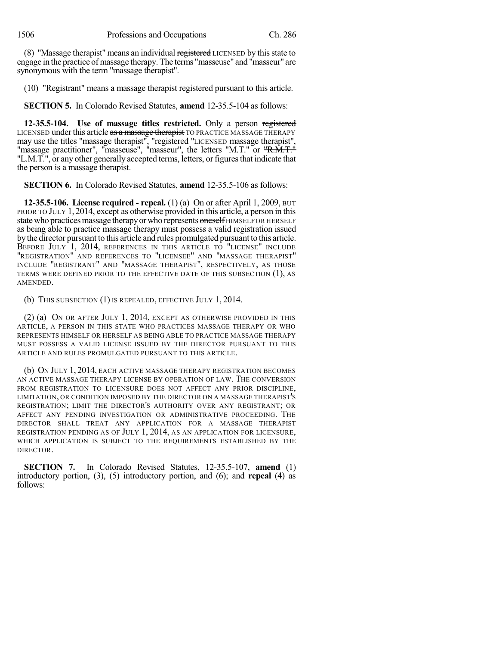(8) "Massage therapist" means an individual registered LICENSED by this state to engage in the practice of massage therapy. The terms "masseuse" and "masseur" are synonymous with the term "massage therapist".

#### (10) "Registrant" means a massage therapist registered pursuant to this article.

**SECTION 5.** In Colorado Revised Statutes, **amend** 12-35.5-104 as follows:

**12-35.5-104. Use of massage titles restricted.** Only a person registered LICENSED under this article as a massage therapist TO PRACTICE MASSAGE THERAPY may use the titles "massage therapist", "registered "LICENSED massage therapist", "massage practitioner", "masseuse", "masseur", the letters "M.T." or "R.M.T." "L.M.T.", or any other generally accepted terms, letters, or figures that indicate that the person is a massage therapist.

**SECTION 6.** In Colorado Revised Statutes, **amend** 12-35.5-106 as follows:

**12-35.5-106. License required - repeal.** (1) (a) On or after April 1, 2009, BUT PRIOR TO JULY 1, 2014, except as otherwise provided in this article, a person in this state who practices massage therapy or who represents oneself HIMSELF OR HERSELF as being able to practice massage therapy must possess a valid registration issued bythe director pursuant to this article and rules promulgated pursuant to this article. BEFORE JULY 1, 2014, REFERENCES IN THIS ARTICLE TO "LICENSE" INCLUDE "REGISTRATION" AND REFERENCES TO "LICENSEE" AND "MASSAGE THERAPIST" INCLUDE "REGISTRANT" AND "MASSAGE THERAPIST", RESPECTIVELY, AS THOSE TERMS WERE DEFINED PRIOR TO THE EFFECTIVE DATE OF THIS SUBSECTION (1), AS AMENDED.

(b) THIS SUBSECTION (1) IS REPEALED, EFFECTIVE JULY 1, 2014.

(2) (a) ON OR AFTER JULY 1, 2014, EXCEPT AS OTHERWISE PROVIDED IN THIS ARTICLE, A PERSON IN THIS STATE WHO PRACTICES MASSAGE THERAPY OR WHO REPRESENTS HIMSELF OR HERSELF AS BEING ABLE TO PRACTICE MASSAGE THERAPY MUST POSSESS A VALID LICENSE ISSUED BY THE DIRECTOR PURSUANT TO THIS ARTICLE AND RULES PROMULGATED PURSUANT TO THIS ARTICLE.

(b) ON JULY 1, 2014, EACH ACTIVE MASSAGE THERAPY REGISTRATION BECOMES AN ACTIVE MASSAGE THERAPY LICENSE BY OPERATION OF LAW. THE CONVERSION FROM REGISTRATION TO LICENSURE DOES NOT AFFECT ANY PRIOR DISCIPLINE, LIMITATION, OR CONDITION IMPOSED BY THE DIRECTOR ON A MASSAGE THERAPIST'S REGISTRATION; LIMIT THE DIRECTOR'S AUTHORITY OVER ANY REGISTRANT; OR AFFECT ANY PENDING INVESTIGATION OR ADMINISTRATIVE PROCEEDING. THE DIRECTOR SHALL TREAT ANY APPLICATION FOR A MASSAGE THERAPIST REGISTRATION PENDING AS OF JULY 1, 2014, AS AN APPLICATION FOR LICENSURE, WHICH APPLICATION IS SUBJECT TO THE REQUIREMENTS ESTABLISHED BY THE DIRECTOR.

**SECTION 7.** In Colorado Revised Statutes, 12-35.5-107, **amend** (1) introductory portion, (3), (5) introductory portion, and (6); and **repeal** (4) as follows: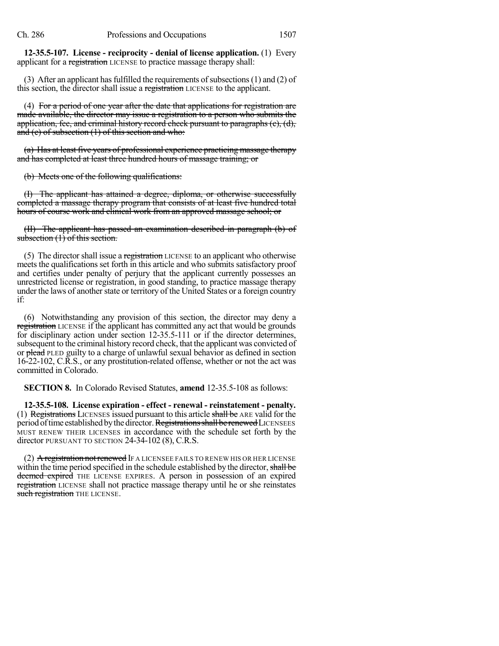**12-35.5-107. License - reciprocity - denial of license application.** (1) Every applicant for a registration LICENSE to practice massage therapy shall:

(3) After an applicant has fulfilled the requirements of subsections  $(1)$  and  $(2)$  of this section, the director shall issue a registration LICENSE to the applicant.

(4) For a period of one year after the date that applications for registration are made available, the director may issue a registration to a person who submits the application, fee, and criminal history record check pursuant to paragraphs (c), (d), and (e) of subsection  $(1)$  of this section and who:

(a) Has at least five years of professional experience practicing massage therapy and has completed at least three hundred hours of massage training; or

(b) Meets one of the following qualifications:

(I) The applicant has attained a degree, diploma, or otherwise successfully completed a massage therapy program that consists of at least five hundred total hours of course work and clinical work from an approved massage school; or

(II) The applicant has passed an examination described in paragraph (b) of subsection (1) of this section.

(5) The director shall issue a registration LICENSE to an applicant who otherwise meets the qualifications set forth in this article and who submits satisfactory proof and certifies under penalty of perjury that the applicant currently possesses an unrestricted license or registration, in good standing, to practice massage therapy under the laws of another state or territory of the United States or a foreign country if:

(6) Notwithstanding any provision of this section, the director may deny a registration LICENSE if the applicant has committed any act that would be grounds for disciplinary action under section 12-35.5-111 or if the director determines, subsequent to the criminal history record check, that the applicant was convicted of or plead PLED guilty to a charge of unlawful sexual behavior as defined in section 16-22-102, C.R.S., or any prostitution-related offense, whether or not the act was committed in Colorado.

**SECTION 8.** In Colorado Revised Statutes, **amend** 12-35.5-108 as follows:

**12-35.5-108. License expiration - effect - renewal - reinstatement - penalty.** (1) Registrations LICENSES issued pursuant to this article shall be ARE valid for the period of time established by the director. Registrations shall be renewed LICENSEES MUST RENEW THEIR LICENSES in accordance with the schedule set forth by the director PURSUANT TO SECTION 24-34-102 (8), C.R.S.

(2) A registration not renewed IF A LICENSEE FAILS TO RENEW HIS OR HER LICENSE within the time period specified in the schedule established by the director, shall be deemed expired THE LICENSE EXPIRES. A person in possession of an expired registration LICENSE shall not practice massage therapy until he or she reinstates such registration THE LICENSE.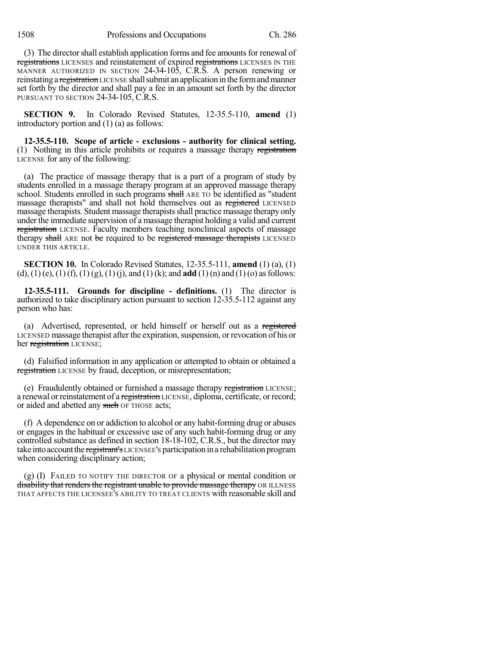(3) The director shall establish application forms and fee amounts for renewal of registrations LICENSES and reinstatement of expired registrations LICENSES IN THE MANNER AUTHORIZED IN SECTION 24-34-105, C.R.S. A person renewing or reinstating a registration LICENSE shall submit an application in the form and manner set forth by the director and shall pay a fee in an amount set forth by the director PURSUANT TO SECTION 24-34-105, C.R.S.

**SECTION 9.** In Colorado Revised Statutes, 12-35.5-110, **amend** (1) introductory portion and (1) (a) as follows:

**12-35.5-110. Scope of article - exclusions - authority for clinical setting.** (1) Nothing in this article prohibits or requires a massage therapy registration LICENSE for any of the following:

(a) The practice of massage therapy that is a part of a program of study by students enrolled in a massage therapy program at an approved massage therapy school. Students enrolled in such programs shall ARE TO be identified as "student massage therapists" and shall not hold themselves out as registered LICENSED massage therapists. Student massage therapistsshall practice massage therapy only under the immediate supervision of a massage therapist holding a valid and current registration LICENSE. Faculty members teaching nonclinical aspects of massage therapy shall ARE not be required to be registered massage therapists LICENSED UNDER THIS ARTICLE.

**SECTION 10.** In Colorado Revised Statutes, 12-35.5-111, **amend** (1) (a), (1) (d), (1)(e), (1)(f), (1)(g), (1)(j), and (1)(k); and **add** (1)(n) and (1)(o) as follows:

**12-35.5-111. Grounds for discipline - definitions.** (1) The director is authorized to take disciplinary action pursuant to section 12-35.5-112 against any person who has:

(a) Advertised, represented, or held himself or herself out as a registered LICENSED massage therapist after the expiration, suspension, or revocation of his or her registration LICENSE;

(d) Falsified information in any application or attempted to obtain or obtained a registration LICENSE by fraud, deception, or misrepresentation;

(e) Fraudulently obtained or furnished a massage therapy registration LICENSE; a renewal or reinstatement of a registration LICENSE, diploma, certificate, or record; or aided and abetted any such OF THOSE acts;

(f) A dependence on or addiction to alcohol or any habit-forming drug or abuses or engages in the habitual or excessive use of any such habit-forming drug or any controlled substance as defined in section 18-18-102, C.R.S., but the director may take into account the registrant's LICENSEE's participation in a rehabilitation program when considering disciplinary action;

(g) (I) FAILED TO NOTIFY THE DIRECTOR OF a physical or mental condition or disability that renders the registrant unable to provide massage therapy OR ILLNESS THAT AFFECTS THE LICENSEE'S ABILITY TO TREAT CLIENTS with reasonable skill and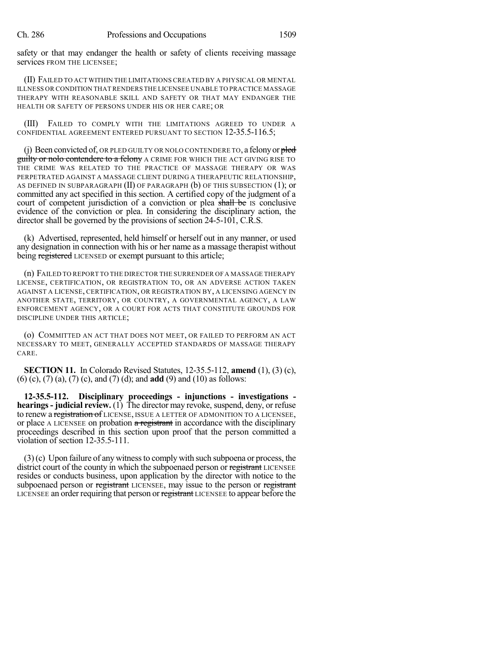safety or that may endanger the health or safety of clients receiving massage services FROM THE LICENSEE;

(II) FAILED TO ACT WITHIN THE LIMITATIONS CREATED BY A PHYSICAL OR MENTAL ILLNESS OR CONDITION THAT RENDERS THE LICENSEE UNABLE TO PRACTICE MASSAGE THERAPY WITH REASONABLE SKILL AND SAFETY OR THAT MAY ENDANGER THE HEALTH OR SAFETY OF PERSONS UNDER HIS OR HER CARE; OR

(III) FAILED TO COMPLY WITH THE LIMITATIONS AGREED TO UNDER A CONFIDENTIAL AGREEMENT ENTERED PURSUANT TO SECTION 12-35.5-116.5;

(j) Been convicted of, OR PLED GUILTY OR NOLO CONTENDERE TO, a felony or  $p$ **guilty or nolo contendere to a felony** A CRIME FOR WHICH THE ACT GIVING RISE TO THE CRIME WAS RELATED TO THE PRACTICE OF MASSAGE THERAPY OR WAS PERPETRATED AGAINST A MASSAGE CLIENT DURING A THERAPEUTIC RELATIONSHIP, AS DEFINED IN SUBPARAGRAPH  $(II)$  OF PARAGRAPH  $(b)$  OF THIS SUBSECTION  $(1)$ ; or committed any act specified in this section. A certified copy of the judgment of a court of competent jurisdiction of a conviction or plea shall be IS conclusive evidence of the conviction or plea. In considering the disciplinary action, the director shall be governed by the provisions of section 24-5-101, C.R.S.

(k) Advertised, represented, held himself or herself out in any manner, or used any designation in connection with his or her name as a massage therapist without being registered LICENSED or exempt pursuant to this article;

(n) FAILED TO REPORT TO THE DIRECTOR THE SURRENDER OF A MASSAGE THERAPY LICENSE, CERTIFICATION, OR REGISTRATION TO, OR AN ADVERSE ACTION TAKEN AGAINST A LICENSE, CERTIFICATION, OR REGISTRATION BY, A LICENSING AGENCY IN ANOTHER STATE, TERRITORY, OR COUNTRY, A GOVERNMENTAL AGENCY, A LAW ENFORCEMENT AGENCY, OR A COURT FOR ACTS THAT CONSTITUTE GROUNDS FOR DISCIPLINE UNDER THIS ARTICLE;

(o) COMMITTED AN ACT THAT DOES NOT MEET, OR FAILED TO PERFORM AN ACT NECESSARY TO MEET, GENERALLY ACCEPTED STANDARDS OF MASSAGE THERAPY CARE.

**SECTION 11.** In Colorado Revised Statutes, 12-35.5-112, **amend** (1), (3) (c), (6) (c), (7) (a), (7) (c), and (7) (d); and **add** (9) and (10) as follows:

**12-35.5-112. Disciplinary proceedings - injunctions - investigations hearings- judicial review.** (1) The director may revoke, suspend, deny, or refuse to renew a registration of LICENSE, ISSUE A LETTER OF ADMONITION TO A LICENSEE, or place A LICENSEE on probation a registrant in accordance with the disciplinary proceedings described in this section upon proof that the person committed a violation of section 12-35.5-111.

(3)(c) Upon failure of any witnessto comply with such subpoena or process, the district court of the county in which the subpoenaed person or registrant LICENSEE resides or conducts business, upon application by the director with notice to the subpoenaed person or registrant LICENSEE, may issue to the person or registrant LICENSEE an order requiring that person or registrant LICENSEE to appear before the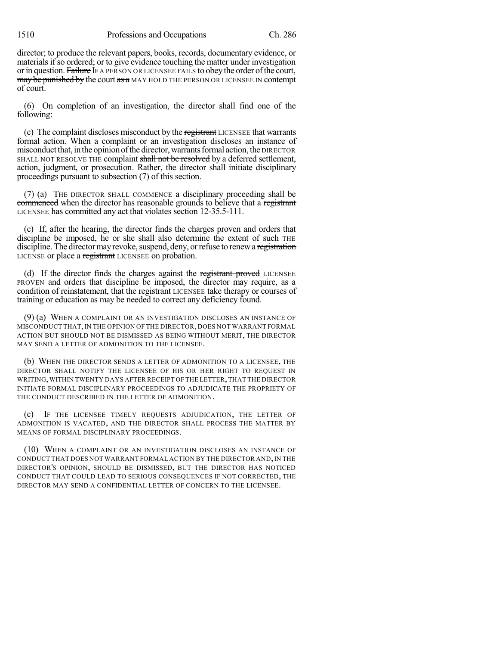director; to produce the relevant papers, books, records, documentary evidence, or materials if so ordered; or to give evidence touching the matter under investigation or in question. Failure IF A PERSON OR LICENSEE FAILS to obey the order of the court, may be punished by the court as a MAY HOLD THE PERSON OR LICENSEE IN contempt of court.

(6) On completion of an investigation, the director shall find one of the following:

(c) The complaint discloses misconduct by the registrant LICENSEE that warrants formal action. When a complaint or an investigation discloses an instance of misconduct that, in the opinion of the director, warrants formal action, the DIRECTOR SHALL NOT RESOLVE THE complaint shall not be resolved by a deferred settlement, action, judgment, or prosecution. Rather, the director shall initiate disciplinary proceedings pursuant to subsection (7) of this section.

(7) (a) THE DIRECTOR SHALL COMMENCE a disciplinary proceeding shall be commenced when the director has reasonable grounds to believe that a registrant LICENSEE has committed any act that violates section 12-35.5-111.

(c) If, after the hearing, the director finds the charges proven and orders that discipline be imposed, he or she shall also determine the extent of such THE discipline. The director may revoke, suspend, deny, or refuse to renew a registration LICENSE or place a registrant LICENSEE on probation.

(d) If the director finds the charges against the registrant proved LICENSEE PROVEN and orders that discipline be imposed, the director may require, as a condition of reinstatement, that the registrant LICENSEE take therapy or courses of training or education as may be needed to correct any deficiency found.

(9) (a) WHEN A COMPLAINT OR AN INVESTIGATION DISCLOSES AN INSTANCE OF MISCONDUCT THAT,IN THE OPINION OF THE DIRECTOR, DOES NOT WARRANT FORMAL ACTION BUT SHOULD NOT BE DISMISSED AS BEING WITHOUT MERIT, THE DIRECTOR MAY SEND A LETTER OF ADMONITION TO THE LICENSEE.

(b) WHEN THE DIRECTOR SENDS A LETTER OF ADMONITION TO A LICENSEE, THE DIRECTOR SHALL NOTIFY THE LICENSEE OF HIS OR HER RIGHT TO REQUEST IN WRITING,WITHIN TWENTY DAYS AFTER RECEIPT OF THE LETTER,THAT THE DIRECTOR INITIATE FORMAL DISCIPLINARY PROCEEDINGS TO ADJUDICATE THE PROPRIETY OF THE CONDUCT DESCRIBED IN THE LETTER OF ADMONITION.

(c) IF THE LICENSEE TIMELY REQUESTS ADJUDICATION, THE LETTER OF ADMONITION IS VACATED, AND THE DIRECTOR SHALL PROCESS THE MATTER BY MEANS OF FORMAL DISCIPLINARY PROCEEDINGS.

(10) WHEN A COMPLAINT OR AN INVESTIGATION DISCLOSES AN INSTANCE OF CONDUCT THAT DOES NOT WARRANT FORMAL ACTION BY THE DIRECTOR AND,IN THE DIRECTOR'S OPINION, SHOULD BE DISMISSED, BUT THE DIRECTOR HAS NOTICED CONDUCT THAT COULD LEAD TO SERIOUS CONSEQUENCES IF NOT CORRECTED, THE DIRECTOR MAY SEND A CONFIDENTIAL LETTER OF CONCERN TO THE LICENSEE.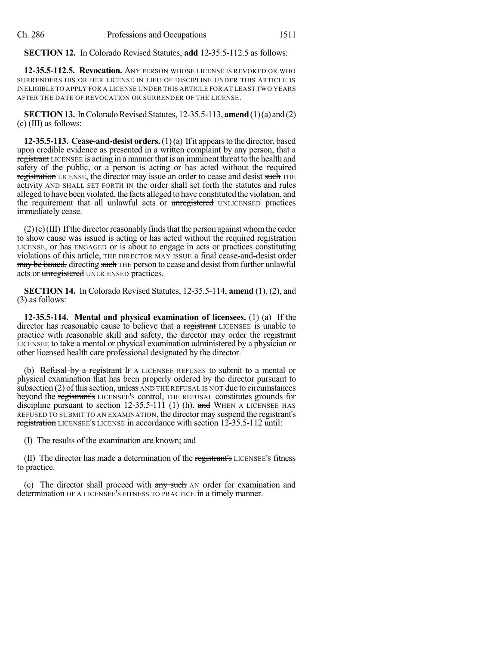#### **SECTION 12.** In Colorado Revised Statutes, **add** 12-35.5-112.5 as follows:

**12-35.5-112.5. Revocation.** ANY PERSON WHOSE LICENSE IS REVOKED OR WHO SURRENDERS HIS OR HER LICENSE IN LIEU OF DISCIPLINE UNDER THIS ARTICLE IS INELIGIBLE TO APPLY FOR A LICENSE UNDER THIS ARTICLE FOR AT LEAST TWO YEARS AFTER THE DATE OF REVOCATION OR SURRENDER OF THE LICENSE.

**SECTION 13.** In Colorado Revised Statutes, 12-35.5-113, **amend** (1)(a) and (2) (c) (III) as follows:

**12-35.5-113. Cease-and-desist orders.**(1)(a) Ifit appearsto the director, based upon credible evidence as presented in a written complaint by any person, that a registrant LICENSEE is acting in a mannerthat is an imminent threat to the health and safety of the public, or a person is acting or has acted without the required registration LICENSE, the director may issue an order to cease and desist such THE activity AND SHALL SET FORTH IN the order shall set forth the statutes and rules alleged tohave been violated, the facts alleged to have constituted the violation, and the requirement that all unlawful acts or unregistered UNLICENSED practices immediately cease.

 $(2)(c)(III)$  If the director reasonably finds that the person against whom the order to show cause was issued is acting or has acted without the required registration LICENSE, or has ENGAGED or is about to engage in acts or practices constituting violations of this article, THE DIRECTOR MAY ISSUE a final cease-and-desist order may be issued, directing such THE person to cease and desist from further unlawful acts or unregistered UNLICENSED practices.

**SECTION 14.** In Colorado Revised Statutes, 12-35.5-114, **amend** (1), (2), and (3) as follows:

**12-35.5-114. Mental and physical examination of licensees.** (1) (a) If the director has reasonable cause to believe that a registrant LICENSEE is unable to practice with reasonable skill and safety, the director may order the registrant LICENSEE to take a mental or physical examination administered by a physician or other licensed health care professional designated by the director.

(b) Refusal by a registrant IF A LICENSEE REFUSES to submit to a mental or physical examination that has been properly ordered by the director pursuant to subsection  $(2)$  of this section, unless AND THE REFUSAL IS NOT due to circumstances beyond the registrant's LICENSEE'S control, THE REFUSAL constitutes grounds for discipline pursuant to section 12-35.5-111 (1) (h). and WHEN A LICENSEE HAS REFUSED TO SUBMIT TO AN EXAMINATION, the director may suspend the registrant's registration LICENSEE's LICENSE in accordance with section 12-35.5-112 until:

(I) The results of the examination are known; and

(II) The director has made a determination of the registrant's LICENSEE'S fitness to practice.

(c) The director shall proceed with any such AN order for examination and determination OF A LICENSEE'S FITNESS TO PRACTICE in a timely manner.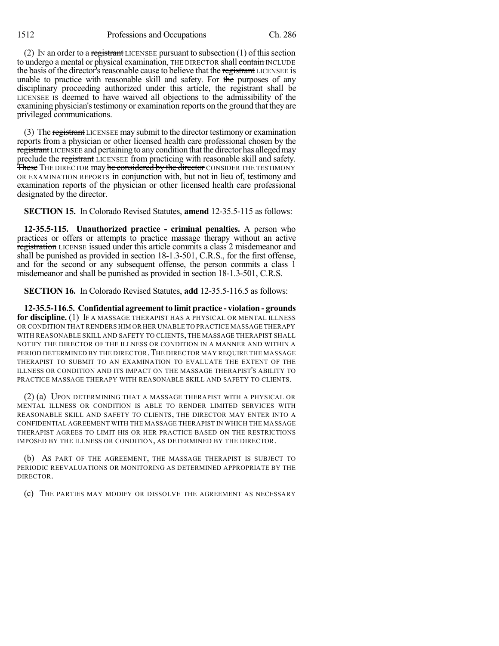1512 Professions and Occupations Ch. 286

(2) In an order to a registrant LICENSEE pursuant to subsection  $(1)$  of this section to undergo a mental or physical examination, THE DIRECTOR shall contain INCLUDE the basis of the director's reasonable cause to believe that the registrant LICENSEE is unable to practice with reasonable skill and safety. For the purposes of any disciplinary proceeding authorized under this article, the registrant shall be LICENSEE IS deemed to have waived all objections to the admissibility of the examining physician's testimony or examination reports on the ground that they are privileged communications.

(3) The registrant LICENSEE may submit to the director testimony or examination reports from a physician or other licensed health care professional chosen by the registrant LICENSEE and pertaining to any condition that the director has alleged may preclude the registrant LICENSEE from practicing with reasonable skill and safety. These THE DIRECTOR may be considered by the director CONSIDER THE TESTIMONY OR EXAMINATION REPORTS in conjunction with, but not in lieu of, testimony and examination reports of the physician or other licensed health care professional designated by the director.

**SECTION 15.** In Colorado Revised Statutes, **amend** 12-35.5-115 as follows:

**12-35.5-115. Unauthorized practice - criminal penalties.** A person who practices or offers or attempts to practice massage therapy without an active registration LICENSE issued under this article commits a class 2 misdemeanor and shall be punished as provided in section 18-1.3-501, C.R.S., for the first offense, and for the second or any subsequent offense, the person commits a class 1 misdemeanor and shall be punished as provided in section 18-1.3-501, C.R.S.

**SECTION 16.** In Colorado Revised Statutes, **add** 12-35.5-116.5 as follows:

**12-35.5-116.5. Confidential agreementto limit practice - violation - grounds for discipline.** (1) IF A MASSAGE THERAPIST HAS A PHYSICAL OR MENTAL ILLNESS OR CONDITION THAT RENDERS HIM OR HER UNABLE TO PRACTICE MASSAGE THERAPY WITH REASONABLE SKILL AND SAFETY TO CLIENTS, THE MASSAGE THERAPIST SHALL NOTIFY THE DIRECTOR OF THE ILLNESS OR CONDITION IN A MANNER AND WITHIN A PERIOD DETERMINED BY THE DIRECTOR.THE DIRECTOR MAY REQUIRE THE MASSAGE THERAPIST TO SUBMIT TO AN EXAMINATION TO EVALUATE THE EXTENT OF THE ILLNESS OR CONDITION AND ITS IMPACT ON THE MASSAGE THERAPIST'S ABILITY TO PRACTICE MASSAGE THERAPY WITH REASONABLE SKILL AND SAFETY TO CLIENTS.

(2) (a) UPON DETERMINING THAT A MASSAGE THERAPIST WITH A PHYSICAL OR MENTAL ILLNESS OR CONDITION IS ABLE TO RENDER LIMITED SERVICES WITH REASONABLE SKILL AND SAFETY TO CLIENTS, THE DIRECTOR MAY ENTER INTO A CONFIDENTIAL AGREEMENT WITH THE MASSAGE THERAPIST IN WHICH THE MASSAGE THERAPIST AGREES TO LIMIT HIS OR HER PRACTICE BASED ON THE RESTRICTIONS IMPOSED BY THE ILLNESS OR CONDITION, AS DETERMINED BY THE DIRECTOR.

(b) AS PART OF THE AGREEMENT, THE MASSAGE THERAPIST IS SUBJECT TO PERIODIC REEVALUATIONS OR MONITORING AS DETERMINED APPROPRIATE BY THE DIRECTOR.

(c) THE PARTIES MAY MODIFY OR DISSOLVE THE AGREEMENT AS NECESSARY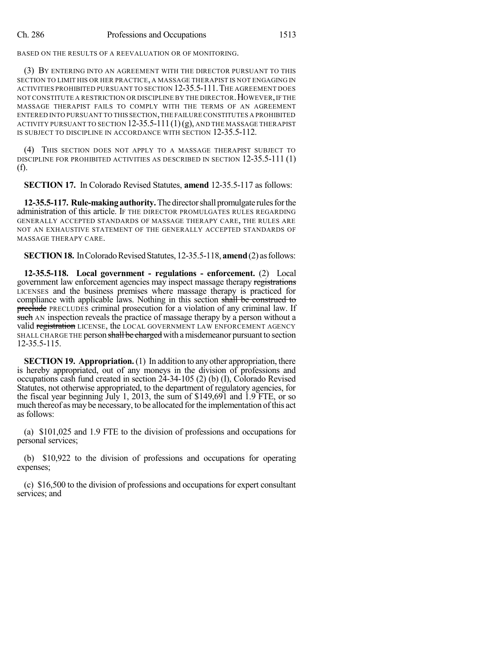BASED ON THE RESULTS OF A REEVALUATION OR OF MONITORING.

(3) BY ENTERING INTO AN AGREEMENT WITH THE DIRECTOR PURSUANT TO THIS SECTION TO LIMIT HIS OR HER PRACTICE, A MASSAGE THERAPIST IS NOT ENGAGING IN ACTIVITIES PROHIBITED PURSUANT TO SECTION 12-35.5-111.THE AGREEMENT DOES NOT CONSTITUTE A RESTRICTION OR DISCIPLINE BY THE DIRECTOR.HOWEVER,IF THE MASSAGE THERAPIST FAILS TO COMPLY WITH THE TERMS OF AN AGREEMENT ENTERED INTO PURSUANT TO THIS SECTION,THE FAILURE CONSTITUTES A PROHIBITED ACTIVITY PURSUANT TO SECTION  $12-35.5-111(1)(g)$ , and the massage therapist IS SUBJECT TO DISCIPLINE IN ACCORDANCE WITH SECTION 12-35.5-112.

(4) THIS SECTION DOES NOT APPLY TO A MASSAGE THERAPIST SUBJECT TO DISCIPLINE FOR PROHIBITED ACTIVITIES AS DESCRIBED IN SECTION 12-35.5-111 (1) (f).

**SECTION 17.** In Colorado Revised Statutes, **amend** 12-35.5-117 as follows:

12-35.5-117. Rule-making authority. The director shall promulgate rules for the administration of this article. IF THE DIRECTOR PROMULGATES RULES REGARDING GENERALLY ACCEPTED STANDARDS OF MASSAGE THERAPY CARE, THE RULES ARE NOT AN EXHAUSTIVE STATEMENT OF THE GENERALLY ACCEPTED STANDARDS OF MASSAGE THERAPY CARE.

**SECTION 18.** In Colorado Revised Statutes, 12-35.5-118, **amend** (2) as follows:

**12-35.5-118. Local government - regulations - enforcement.** (2) Local government law enforcement agencies may inspect massage therapy registrations LICENSES and the business premises where massage therapy is practiced for compliance with applicable laws. Nothing in this section shall be construed to preclude PRECLUDES criminal prosecution for a violation of any criminal law. If such AN inspection reveals the practice of massage therapy by a person without a valid registration LICENSE, the LOCAL GOVERNMENT LAW ENFORCEMENT AGENCY SHALL CHARGE THE person shall be charged with a misdemeanor pursuant to section 12-35.5-115.

**SECTION 19. Appropriation.** (1) In addition to any other appropriation, there is hereby appropriated, out of any moneys in the division of professions and occupations cash fund created in section 24-34-105 (2) (b) (I), Colorado Revised Statutes, not otherwise appropriated, to the department of regulatory agencies, for the fiscal year beginning July 1, 2013, the sum of \$149,691 and 1.9 FTE, or so much thereof as may be necessary, to be allocated for the implementation of this act as follows:

(a) \$101,025 and 1.9 FTE to the division of professions and occupations for personal services;

(b) \$10,922 to the division of professions and occupations for operating expenses;

(c) \$16,500 to the division of professions and occupations for expert consultant services; and